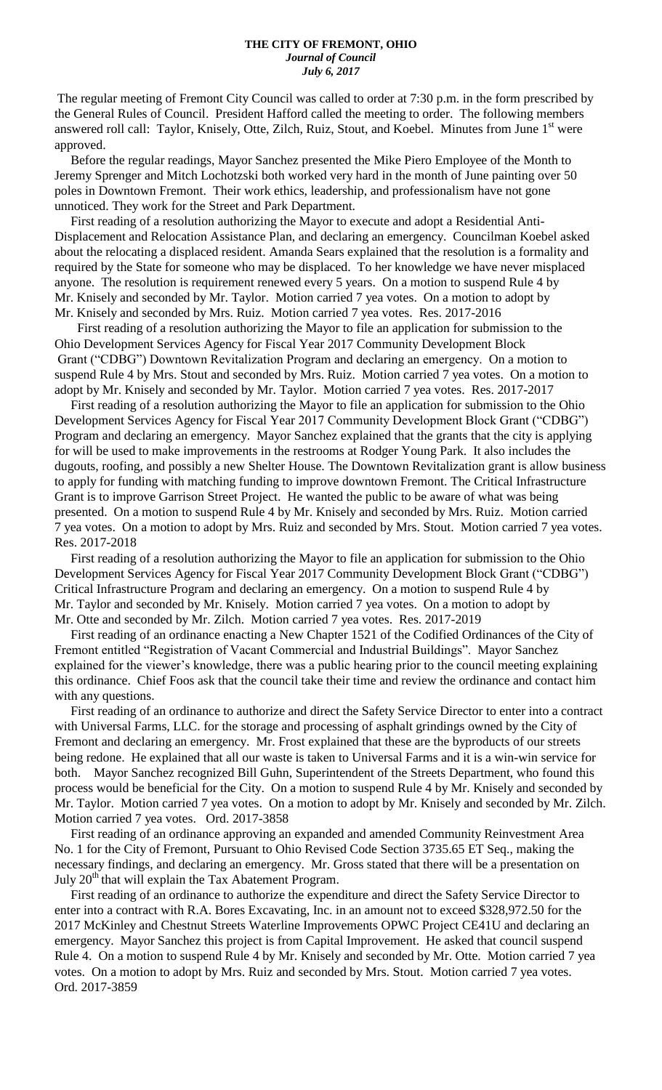The regular meeting of Fremont City Council was called to order at 7:30 p.m. in the form prescribed by the General Rules of Council. President Hafford called the meeting to order. The following members answered roll call: Taylor, Knisely, Otte, Zilch, Ruiz, Stout, and Koebel. Minutes from June 1<sup>st</sup> were approved.

 Before the regular readings, Mayor Sanchez presented the Mike Piero Employee of the Month to Jeremy Sprenger and Mitch Lochotzski both worked very hard in the month of June painting over 50 poles in Downtown Fremont. Their work ethics, leadership, and professionalism have not gone unnoticed. They work for the Street and Park Department.

 First reading of a resolution authorizing the Mayor to execute and adopt a Residential Anti-Displacement and Relocation Assistance Plan, and declaring an emergency. Councilman Koebel asked about the relocating a displaced resident. Amanda Sears explained that the resolution is a formality and required by the State for someone who may be displaced. To her knowledge we have never misplaced anyone. The resolution is requirement renewed every 5 years. On a motion to suspend Rule 4 by Mr. Knisely and seconded by Mr. Taylor. Motion carried 7 yea votes. On a motion to adopt by Mr. Knisely and seconded by Mrs. Ruiz. Motion carried 7 yea votes. Res. 2017-2016

 First reading of a resolution authorizing the Mayor to file an application for submission to the Ohio Development Services Agency for Fiscal Year 2017 Community Development Block Grant ("CDBG") Downtown Revitalization Program and declaring an emergency. On a motion to suspend Rule 4 by Mrs. Stout and seconded by Mrs. Ruiz. Motion carried 7 yea votes. On a motion to adopt by Mr. Knisely and seconded by Mr. Taylor. Motion carried 7 yea votes. Res. 2017-2017

 First reading of a resolution authorizing the Mayor to file an application for submission to the Ohio Development Services Agency for Fiscal Year 2017 Community Development Block Grant ("CDBG") Program and declaring an emergency. Mayor Sanchez explained that the grants that the city is applying for will be used to make improvements in the restrooms at Rodger Young Park. It also includes the dugouts, roofing, and possibly a new Shelter House. The Downtown Revitalization grant is allow business to apply for funding with matching funding to improve downtown Fremont. The Critical Infrastructure Grant is to improve Garrison Street Project. He wanted the public to be aware of what was being presented. On a motion to suspend Rule 4 by Mr. Knisely and seconded by Mrs. Ruiz. Motion carried 7 yea votes. On a motion to adopt by Mrs. Ruiz and seconded by Mrs. Stout. Motion carried 7 yea votes. Res. 2017-2018

 First reading of a resolution authorizing the Mayor to file an application for submission to the Ohio Development Services Agency for Fiscal Year 2017 Community Development Block Grant ("CDBG") Critical Infrastructure Program and declaring an emergency. On a motion to suspend Rule 4 by Mr. Taylor and seconded by Mr. Knisely. Motion carried 7 yea votes. On a motion to adopt by Mr. Otte and seconded by Mr. Zilch. Motion carried 7 yea votes. Res. 2017-2019

 First reading of an ordinance enacting a New Chapter 1521 of the Codified Ordinances of the City of Fremont entitled "Registration of Vacant Commercial and Industrial Buildings". Mayor Sanchez explained for the viewer's knowledge, there was a public hearing prior to the council meeting explaining this ordinance. Chief Foos ask that the council take their time and review the ordinance and contact him with any questions.

 First reading of an ordinance to authorize and direct the Safety Service Director to enter into a contract with Universal Farms, LLC. for the storage and processing of asphalt grindings owned by the City of Fremont and declaring an emergency. Mr. Frost explained that these are the byproducts of our streets being redone. He explained that all our waste is taken to Universal Farms and it is a win-win service for both. Mayor Sanchez recognized Bill Guhn, Superintendent of the Streets Department, who found this process would be beneficial for the City. On a motion to suspend Rule 4 by Mr. Knisely and seconded by Mr. Taylor. Motion carried 7 yea votes. On a motion to adopt by Mr. Knisely and seconded by Mr. Zilch. Motion carried 7 yea votes. Ord. 2017-3858

 First reading of an ordinance approving an expanded and amended Community Reinvestment Area No. 1 for the City of Fremont, Pursuant to Ohio Revised Code Section 3735.65 ET Seq., making the necessary findings, and declaring an emergency. Mr. Gross stated that there will be a presentation on July  $20<sup>th</sup>$  that will explain the Tax Abatement Program.

 First reading of an ordinance to authorize the expenditure and direct the Safety Service Director to enter into a contract with R.A. Bores Excavating, Inc. in an amount not to exceed \$328,972.50 for the 2017 McKinley and Chestnut Streets Waterline Improvements OPWC Project CE41U and declaring an emergency. Mayor Sanchez this project is from Capital Improvement. He asked that council suspend Rule 4. On a motion to suspend Rule 4 by Mr. Knisely and seconded by Mr. Otte. Motion carried 7 yea votes. On a motion to adopt by Mrs. Ruiz and seconded by Mrs. Stout. Motion carried 7 yea votes. Ord. 2017-3859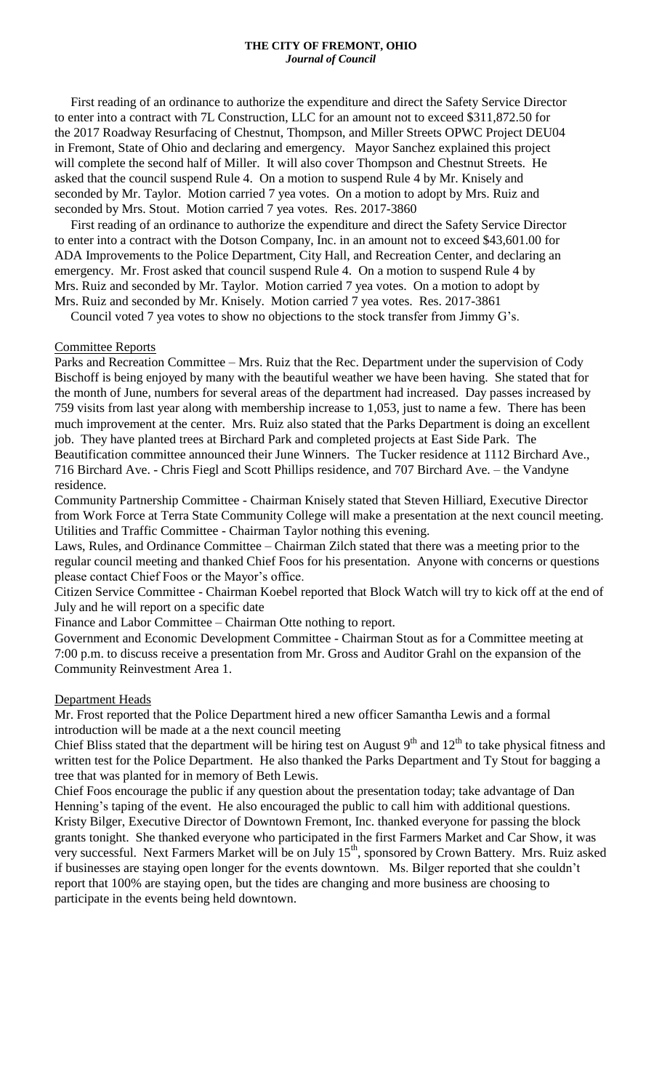### **THE CITY OF FREMONT, OHIO** *Journal of Council*

 First reading of an ordinance to authorize the expenditure and direct the Safety Service Director to enter into a contract with 7L Construction, LLC for an amount not to exceed \$311,872.50 for the 2017 Roadway Resurfacing of Chestnut, Thompson, and Miller Streets OPWC Project DEU04 in Fremont, State of Ohio and declaring and emergency. Mayor Sanchez explained this project will complete the second half of Miller. It will also cover Thompson and Chestnut Streets. He asked that the council suspend Rule 4. On a motion to suspend Rule 4 by Mr. Knisely and seconded by Mr. Taylor. Motion carried 7 yea votes. On a motion to adopt by Mrs. Ruiz and seconded by Mrs. Stout. Motion carried 7 yea votes. Res. 2017-3860

 First reading of an ordinance to authorize the expenditure and direct the Safety Service Director to enter into a contract with the Dotson Company, Inc. in an amount not to exceed \$43,601.00 for ADA Improvements to the Police Department, City Hall, and Recreation Center, and declaring an emergency. Mr. Frost asked that council suspend Rule 4. On a motion to suspend Rule 4 by Mrs. Ruiz and seconded by Mr. Taylor. Motion carried 7 yea votes. On a motion to adopt by Mrs. Ruiz and seconded by Mr. Knisely. Motion carried 7 yea votes. Res. 2017-3861

Council voted 7 yea votes to show no objections to the stock transfer from Jimmy G's.

### Committee Reports

Parks and Recreation Committee – Mrs. Ruiz that the Rec. Department under the supervision of Cody Bischoff is being enjoyed by many with the beautiful weather we have been having. She stated that for the month of June, numbers for several areas of the department had increased. Day passes increased by 759 visits from last year along with membership increase to 1,053, just to name a few. There has been much improvement at the center. Mrs. Ruiz also stated that the Parks Department is doing an excellent job. They have planted trees at Birchard Park and completed projects at East Side Park. The Beautification committee announced their June Winners. The Tucker residence at 1112 Birchard Ave., 716 Birchard Ave. - Chris Fiegl and Scott Phillips residence, and 707 Birchard Ave. – the Vandyne residence.

Community Partnership Committee - Chairman Knisely stated that Steven Hilliard, Executive Director from Work Force at Terra State Community College will make a presentation at the next council meeting. Utilities and Traffic Committee - Chairman Taylor nothing this evening.

Laws, Rules, and Ordinance Committee – Chairman Zilch stated that there was a meeting prior to the regular council meeting and thanked Chief Foos for his presentation. Anyone with concerns or questions please contact Chief Foos or the Mayor's office.

Citizen Service Committee - Chairman Koebel reported that Block Watch will try to kick off at the end of July and he will report on a specific date

Finance and Labor Committee – Chairman Otte nothing to report.

Government and Economic Development Committee - Chairman Stout as for a Committee meeting at 7:00 p.m. to discuss receive a presentation from Mr. Gross and Auditor Grahl on the expansion of the Community Reinvestment Area 1.

#### Department Heads

Mr. Frost reported that the Police Department hired a new officer Samantha Lewis and a formal introduction will be made at a the next council meeting

Chief Bliss stated that the department will be hiring test on August  $9<sup>th</sup>$  and  $12<sup>th</sup>$  to take physical fitness and written test for the Police Department. He also thanked the Parks Department and Ty Stout for bagging a tree that was planted for in memory of Beth Lewis.

Chief Foos encourage the public if any question about the presentation today; take advantage of Dan Henning's taping of the event. He also encouraged the public to call him with additional questions. Kristy Bilger, Executive Director of Downtown Fremont, Inc. thanked everyone for passing the block grants tonight. She thanked everyone who participated in the first Farmers Market and Car Show, it was very successful. Next Farmers Market will be on July 15<sup>th</sup>, sponsored by Crown Battery. Mrs. Ruiz asked if businesses are staying open longer for the events downtown. Ms. Bilger reported that she couldn't report that 100% are staying open, but the tides are changing and more business are choosing to participate in the events being held downtown.